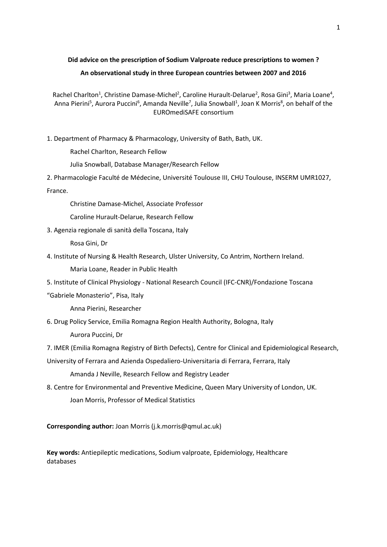# **Did advice on the prescription of Sodium Valproate reduce prescriptions to women ? An observational study in three European countries between 2007 and 2016**

Rachel Charlton<sup>1</sup>, Christine Damase-Michel<sup>2</sup>, Caroline Hurault-Delarue<sup>2</sup>, Rosa Gini<sup>3</sup>, Maria Loane<sup>4</sup>, Anna Pierini<sup>5</sup>, Aurora Puccini<sup>6</sup>, Amanda Neville<sup>7</sup>, Julia Snowball<sup>1</sup>, Joan K Morris<sup>8</sup>, on behalf of the EUROmediSAFE consortium

1. Department of Pharmacy & Pharmacology, University of Bath, Bath, UK.

Rachel Charlton, Research Fellow

Julia Snowball, Database Manager/Research Fellow

2. Pharmacologie Faculté de Médecine, Université Toulouse III, CHU Toulouse, INSERM UMR1027, France.

Christine Damase-Michel, Associate Professor

Caroline Hurault-Delarue, Research Fellow

3. Agenzia regionale di sanità della Toscana, Italy

Rosa Gini, Dr

4. Institute of Nursing & Health Research, Ulster University, Co Antrim, Northern Ireland.

Maria Loane, Reader in Public Health

- 5. Institute of Clinical Physiology National Research Council (IFC-CNR)/Fondazione Toscana
- "Gabriele Monasterio", Pisa, Italy

Anna Pierini, Researcher

6. Drug Policy Service, Emilia Romagna Region Health Authority, Bologna, Italy

Aurora Puccini, Dr

7. IMER (Emilia Romagna Registry of Birth Defects), Centre for Clinical and Epidemiological Research,

University of Ferrara and Azienda Ospedaliero-Universitaria di Ferrara, Ferrara, Italy

Amanda J Neville, Research Fellow and Registry Leader

8. Centre for Environmental and Preventive Medicine, Queen Mary University of London, UK. Joan Morris, Professor of Medical Statistics

**Corresponding author:** Joan Morris (j.k.morris@qmul.ac.uk)

**Key words:** Antiepileptic medications, Sodium valproate, Epidemiology, Healthcare databases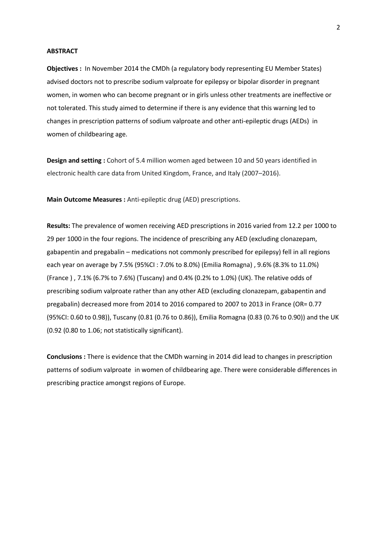#### **ABSTRACT**

**Objectives :** In November 2014 the CMDh (a regulatory body representing EU Member States) advised doctors not to prescribe sodium valproate for epilepsy or bipolar disorder in pregnant women, in women who can become pregnant or in girls unless other treatments are ineffective or not tolerated. This study aimed to determine if there is any evidence that this warning led to changes in prescription patterns of sodium valproate and other anti-epileptic drugs (AEDs) in women of childbearing age.

**Design and setting :** Cohort of 5.4 million women aged between 10 and 50 years identified in electronic health care data from United Kingdom, France, and Italy (2007–2016).

**Main Outcome Measures :** Anti‐epileptic drug (AED) prescriptions.

**Results:** The prevalence of women receiving AED prescriptions in 2016 varied from 12.2 per 1000 to 29 per 1000 in the four regions. The incidence of prescribing any AED (excluding clonazepam, gabapentin and pregabalin – medications not commonly prescribed for epilepsy) fell in all regions each year on average by 7.5% (95%CI : 7.0% to 8.0%) (Emilia Romagna) , 9.6% (8.3% to 11.0%) (France ) , 7.1% (6.7% to 7.6%) (Tuscany) and 0.4% (0.2% to 1.0%) (UK). The relative odds of prescribing sodium valproate rather than any other AED (excluding clonazepam, gabapentin and pregabalin) decreased more from 2014 to 2016 compared to 2007 to 2013 in France (OR= 0.77 (95%CI: 0.60 to 0.98)), Tuscany (0.81 (0.76 to 0.86)), Emilia Romagna (0.83 (0.76 to 0.90)) and the UK (0.92 (0.80 to 1.06; not statistically significant).

**Conclusions :** There is evidence that the CMDh warning in 2014 did lead to changes in prescription patterns of sodium valproate in women of childbearing age. There were considerable differences in prescribing practice amongst regions of Europe.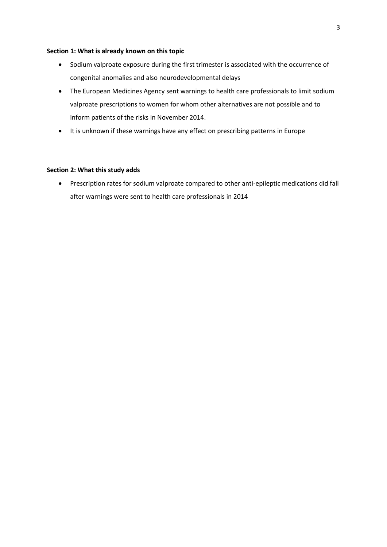### **Section 1: What is already known on this topic**

- Sodium valproate exposure during the first trimester is associated with the occurrence of congenital anomalies and also neurodevelopmental delays
- The European Medicines Agency sent warnings to health care professionals to limit sodium valproate prescriptions to women for whom other alternatives are not possible and to inform patients of the risks in November 2014.
- It is unknown if these warnings have any effect on prescribing patterns in Europe

# **Section 2: What this study adds**

• Prescription rates for sodium valproate compared to other anti-epileptic medications did fall after warnings were sent to health care professionals in 2014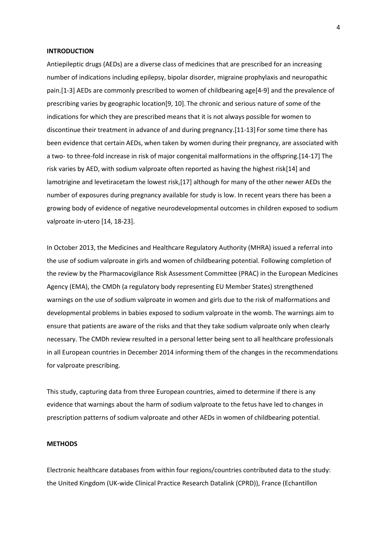#### **INTRODUCTION**

Antiepileptic drugs (AEDs) are a diverse class of medicines that are prescribed for an increasing number of indications including epilepsy, bipolar disorder, migraine prophylaxis and neuropathic pain.[1-3] AEDs are commonly prescribed to women of childbearing age[4-9] and the prevalence of prescribing varies by geographic location[9, 10]. The chronic and serious nature of some of the indications for which they are prescribed means that it is not always possible for women to discontinue their treatment in advance of and during pregnancy.[11-13] For some time there has been evidence that certain AEDs, when taken by women during their pregnancy, are associated with a two- to three-fold increase in risk of major congenital malformations in the offspring.[14-17] The risk varies by AED, with sodium valproate often reported as having the highest risk[14] and lamotrigine and levetiracetam the lowest risk,[17] although for many of the other newer AEDs the number of exposures during pregnancy available for study is low. In recent years there has been a growing body of evidence of negative neurodevelopmental outcomes in children exposed to sodium valproate in-utero [14, 18-23].

In October 2013, the Medicines and Healthcare Regulatory Authority (MHRA) issued a referral into the use of sodium valproate in girls and women of childbearing potential. Following completion of the review by the Pharmacovigilance Risk Assessment Committee (PRAC) in the European Medicines Agency (EMA), the CMDh (a regulatory body representing EU Member States) strengthened warnings on the use of sodium valproate in women and girls due to the risk of malformations and developmental problems in babies exposed to sodium valproate in the womb. The warnings aim to ensure that patients are aware of the risks and that they take sodium valproate only when clearly necessary. The CMDh review resulted in a personal letter being sent to all healthcare professionals in all European countries in December 2014 informing them of the changes in the recommendations for valproate prescribing.

This study, capturing data from three European countries, aimed to determine if there is any evidence that warnings about the harm of sodium valproate to the fetus have led to changes in prescription patterns of sodium valproate and other AEDs in women of childbearing potential.

# **METHODS**

Electronic healthcare databases from within four regions/countries contributed data to the study: the United Kingdom (UK-wide Clinical Practice Research Datalink (CPRD)), France (Echantillon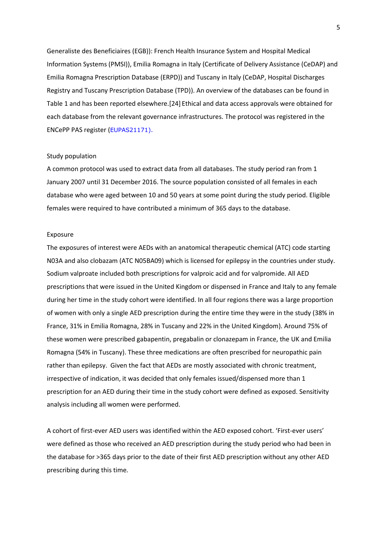Generaliste des Beneficiaires (EGB)): French Health Insurance System and Hospital Medical Information Systems (PMSI)), Emilia Romagna in Italy (Certificate of Delivery Assistance (CeDAP) and Emilia Romagna Prescription Database (ERPD)) and Tuscany in Italy (CeDAP, Hospital Discharges Registry and Tuscany Prescription Database (TPD)). An overview of the databases can be found in Table 1 and has been reported elsewhere.[24] Ethical and data access approvals were obtained for each database from the relevant governance infrastructures. The protocol was registered in the ENCePP PAS register (EUPAS21171).

#### Study population

A common protocol was used to extract data from all databases. The study period ran from 1 January 2007 until 31 December 2016. The source population consisted of all females in each database who were aged between 10 and 50 years at some point during the study period. Eligible females were required to have contributed a minimum of 365 days to the database.

#### Exposure

The exposures of interest were AEDs with an anatomical therapeutic chemical (ATC) code starting N03A and also clobazam (ATC N05BA09) which is licensed for epilepsy in the countries under study. Sodium valproate included both prescriptions for valproic acid and for valpromide. All AED prescriptions that were issued in the United Kingdom or dispensed in France and Italy to any female during her time in the study cohort were identified. In all four regions there was a large proportion of women with only a single AED prescription during the entire time they were in the study (38% in France, 31% in Emilia Romagna, 28% in Tuscany and 22% in the United Kingdom). Around 75% of these women were prescribed gabapentin, pregabalin or clonazepam in France, the UK and Emilia Romagna (54% in Tuscany). These three medications are often prescribed for neuropathic pain rather than epilepsy. Given the fact that AEDs are mostly associated with chronic treatment, irrespective of indication, it was decided that only females issued/dispensed more than 1 prescription for an AED during their time in the study cohort were defined as exposed. Sensitivity analysis including all women were performed.

A cohort of first-ever AED users was identified within the AED exposed cohort. 'First-ever users' were defined as those who received an AED prescription during the study period who had been in the database for >365 days prior to the date of their first AED prescription without any other AED prescribing during this time.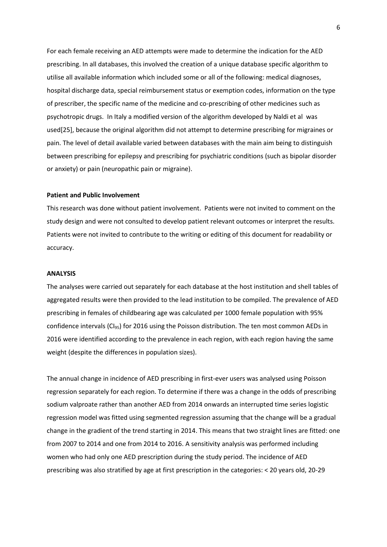For each female receiving an AED attempts were made to determine the indication for the AED prescribing. In all databases, this involved the creation of a unique database specific algorithm to utilise all available information which included some or all of the following: medical diagnoses, hospital discharge data, special reimbursement status or exemption codes, information on the type of prescriber, the specific name of the medicine and co-prescribing of other medicines such as psychotropic drugs. In Italy a modified version of the algorithm developed by Naldi et al was used[25], because the original algorithm did not attempt to determine prescribing for migraines or pain. The level of detail available varied between databases with the main aim being to distinguish between prescribing for epilepsy and prescribing for psychiatric conditions (such as bipolar disorder or anxiety) or pain (neuropathic pain or migraine).

# **Patient and Public Involvement**

This research was done without patient involvement. Patients were not invited to comment on the study design and were not consulted to develop patient relevant outcomes or interpret the results. Patients were not invited to contribute to the writing or editing of this document for readability or accuracy.

#### **ANALYSIS**

The analyses were carried out separately for each database at the host institution and shell tables of aggregated results were then provided to the lead institution to be compiled. The prevalence of AED prescribing in females of childbearing age was calculated per 1000 female population with 95% confidence intervals (CI<sub>95</sub>) for 2016 using the Poisson distribution. The ten most common AEDs in 2016 were identified according to the prevalence in each region, with each region having the same weight (despite the differences in population sizes).

The annual change in incidence of AED prescribing in first-ever users was analysed using Poisson regression separately for each region. To determine if there was a change in the odds of prescribing sodium valproate rather than another AED from 2014 onwards an interrupted time series logistic regression model was fitted using segmented regression assuming that the change will be a gradual change in the gradient of the trend starting in 2014. This means that two straight lines are fitted: one from 2007 to 2014 and one from 2014 to 2016. A sensitivity analysis was performed including women who had only one AED prescription during the study period. The incidence of AED prescribing was also stratified by age at first prescription in the categories: < 20 years old, 20-29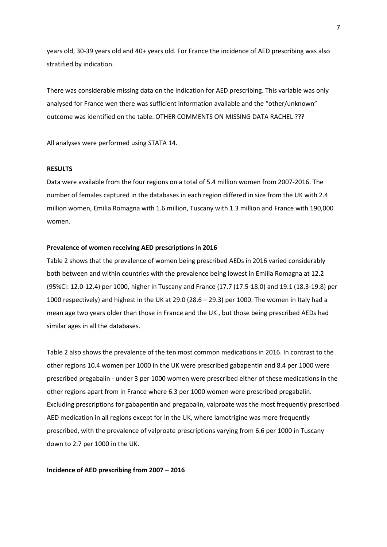years old, 30-39 years old and 40+ years old. For France the incidence of AED prescribing was also stratified by indication.

There was considerable missing data on the indication for AED prescribing. This variable was only analysed for France wen there was sufficient information available and the "other/unknown" outcome was identified on the table. OTHER COMMENTS ON MISSING DATA RACHEL ???

All analyses were performed using STATA 14.

#### **RESULTS**

Data were available from the four regions on a total of 5.4 million women from 2007-2016. The number of females captured in the databases in each region differed in size from the UK with 2.4 million women, Emilia Romagna with 1.6 million, Tuscany with 1.3 million and France with 190,000 women.

#### **Prevalence of women receiving AED prescriptions in 2016**

Table 2 shows that the prevalence of women being prescribed AEDs in 2016 varied considerably both between and within countries with the prevalence being lowest in Emilia Romagna at 12.2 (95%CI: 12.0-12.4) per 1000, higher in Tuscany and France (17.7 (17.5-18.0) and 19.1 (18.3-19.8) per 1000 respectively) and highest in the UK at 29.0 (28.6 – 29.3) per 1000. The women in Italy had a mean age two years older than those in France and the UK , but those being prescribed AEDs had similar ages in all the databases.

Table 2 also shows the prevalence of the ten most common medications in 2016. In contrast to the other regions 10.4 women per 1000 in the UK were prescribed gabapentin and 8.4 per 1000 were prescribed pregabalin - under 3 per 1000 women were prescribed either of these medications in the other regions apart from in France where 6.3 per 1000 women were prescribed pregabalin. Excluding prescriptions for gabapentin and pregabalin, valproate was the most frequently prescribed AED medication in all regions except for in the UK, where lamotrigine was more frequently prescribed, with the prevalence of valproate prescriptions varying from 6.6 per 1000 in Tuscany down to 2.7 per 1000 in the UK.

#### **Incidence of AED prescribing from 2007 – 2016**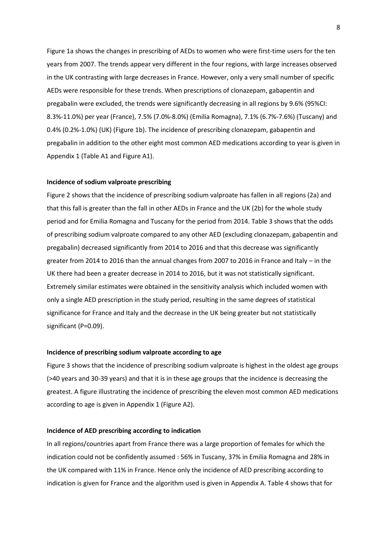Figure 1a shows the changes in prescribing of AEDs to women who were first-time users for the ten years from 2007. The trends appear very different in the four regions, with large increases observed in the UK contrasting with large decreases in France. However, only a very small number of specific AEDs were responsible for these trends. When prescriptions of clonazepam, gabapentin and pregabalin were excluded, the trends were significantly decreasing in all regions by 9.6% (95%CI: 8.3%-11.0%) per year (France), 7.5% (7.0%-8.0%) (Emilia Romagna), 7.1% (6.7%-7.6%) (Tuscany) and 0.4% (0.2%-1.0%) (UK) (Figure 1b). The incidence of prescribing clonazepam, gabapentin and pregabalin in addition to the other eight most common AED medications according to year is given in Appendix 1 (Table A1 and Figure A1).

#### **Incidence of sodium valproate prescribing**

Figure 2 shows that the incidence of prescribing sodium valproate has fallen in all regions (2a) and that this fall is greater than the fall in other AEDs in France and the UK (2b) for the whole study period and for Emilia Romagna and Tuscany for the period from 2014. Table 3 shows that the odds of prescribing sodium valproate compared to any other AED (excluding clonazepam, gabapentin and pregabalin) decreased significantly from 2014 to 2016 and that this decrease was significantly greater from 2014 to 2016 than the annual changes from 2007 to 2016 in France and Italy – in the UK there had been a greater decrease in 2014 to 2016, but it was not statistically significant. Extremely similar estimates were obtained in the sensitivity analysis which included women with only a single AED prescription in the study period, resulting in the same degrees of statistical significance for France and Italy and the decrease in the UK being greater but not statistically significant (P=0.09).

## **Incidence of prescribing sodium valproate according to age**

Figure 3 shows that the incidence of prescribing sodium valproate is highest in the oldest age groups (>40 years and 30-39 years) and that it is in these age groups that the incidence is decreasing the greatest. A figure illustrating the incidence of prescribing the eleven most common AED medications according to age is given in Appendix 1 (Figure A2).

#### **Incidence of AED prescribing according to indication**

In all regions/countries apart from France there was a large proportion of females for which the indication could not be confidently assumed : 56% in Tuscany, 37% in Emilia Romagna and 28% in the UK compared with 11% in France. Hence only the incidence of AED prescribing according to indication is given for France and the algorithm used is given in Appendix A. Table 4 shows that for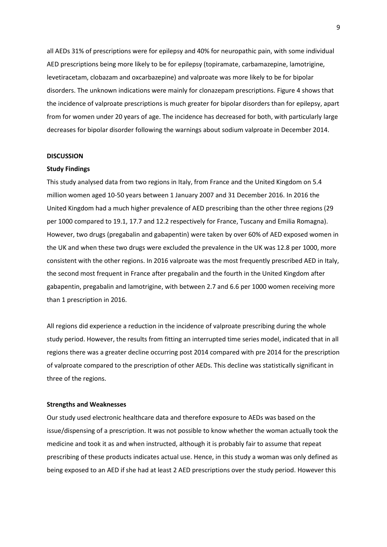all AEDs 31% of prescriptions were for epilepsy and 40% for neuropathic pain, with some individual AED prescriptions being more likely to be for epilepsy (topiramate, carbamazepine, lamotrigine, levetiracetam, clobazam and oxcarbazepine) and valproate was more likely to be for bipolar disorders. The unknown indications were mainly for clonazepam prescriptions. Figure 4 shows that the incidence of valproate prescriptions is much greater for bipolar disorders than for epilepsy, apart from for women under 20 years of age. The incidence has decreased for both, with particularly large decreases for bipolar disorder following the warnings about sodium valproate in December 2014.

# **DISCUSSION**

#### **Study Findings**

This study analysed data from two regions in Italy, from France and the United Kingdom on 5.4 million women aged 10-50 years between 1 January 2007 and 31 December 2016. In 2016 the United Kingdom had a much higher prevalence of AED prescribing than the other three regions (29 per 1000 compared to 19.1, 17.7 and 12.2 respectively for France, Tuscany and Emilia Romagna). However, two drugs (pregabalin and gabapentin) were taken by over 60% of AED exposed women in the UK and when these two drugs were excluded the prevalence in the UK was 12.8 per 1000, more consistent with the other regions. In 2016 valproate was the most frequently prescribed AED in Italy, the second most frequent in France after pregabalin and the fourth in the United Kingdom after gabapentin, pregabalin and lamotrigine, with between 2.7 and 6.6 per 1000 women receiving more than 1 prescription in 2016.

All regions did experience a reduction in the incidence of valproate prescribing during the whole study period. However, the results from fitting an interrupted time series model, indicated that in all regions there was a greater decline occurring post 2014 compared with pre 2014 for the prescription of valproate compared to the prescription of other AEDs. This decline was statistically significant in three of the regions.

#### **Strengths and Weaknesses**

Our study used electronic healthcare data and therefore exposure to AEDs was based on the issue/dispensing of a prescription. It was not possible to know whether the woman actually took the medicine and took it as and when instructed, although it is probably fair to assume that repeat prescribing of these products indicates actual use. Hence, in this study a woman was only defined as being exposed to an AED if she had at least 2 AED prescriptions over the study period. However this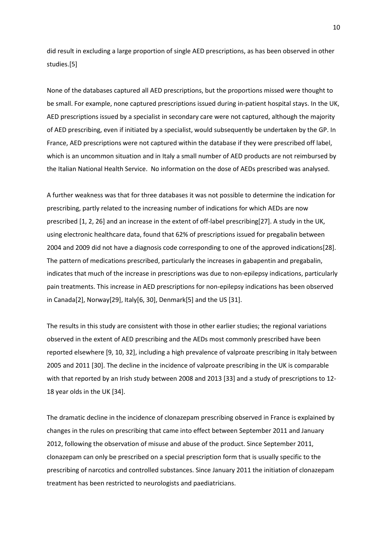did result in excluding a large proportion of single AED prescriptions, as has been observed in other studies.[5]

None of the databases captured all AED prescriptions, but the proportions missed were thought to be small. For example, none captured prescriptions issued during in-patient hospital stays. In the UK, AED prescriptions issued by a specialist in secondary care were not captured, although the majority of AED prescribing, even if initiated by a specialist, would subsequently be undertaken by the GP. In France, AED prescriptions were not captured within the database if they were prescribed off label, which is an uncommon situation and in Italy a small number of AED products are not reimbursed by the Italian National Health Service. No information on the dose of AEDs prescribed was analysed.

A further weakness was that for three databases it was not possible to determine the indication for prescribing, partly related to the increasing number of indications for which AEDs are now prescribed [1, 2, 26] and an increase in the extent of off-label prescribing[27]. A study in the UK, using electronic healthcare data, found that 62% of prescriptions issued for pregabalin between 2004 and 2009 did not have a diagnosis code corresponding to one of the approved indications[28]. The pattern of medications prescribed, particularly the increases in gabapentin and pregabalin, indicates that much of the increase in prescriptions was due to non-epilepsy indications, particularly pain treatments. This increase in AED prescriptions for non-epilepsy indications has been observed in Canada[2], Norway[29], Italy[6, 30], Denmark[5] and the US [31].

The results in this study are consistent with those in other earlier studies; the regional variations observed in the extent of AED prescribing and the AEDs most commonly prescribed have been reported elsewhere [9, 10, 32], including a high prevalence of valproate prescribing in Italy between 2005 and 2011 [30]. The decline in the incidence of valproate prescribing in the UK is comparable with that reported by an Irish study between 2008 and 2013 [33] and a study of prescriptions to 12- 18 year olds in the UK [34].

The dramatic decline in the incidence of clonazepam prescribing observed in France is explained by changes in the rules on prescribing that came into effect between September 2011 and January 2012, following the observation of misuse and abuse of the product. Since September 2011, clonazepam can only be prescribed on a special prescription form that is usually specific to the prescribing of narcotics and controlled substances. Since January 2011 the initiation of clonazepam treatment has been restricted to neurologists and paediatricians.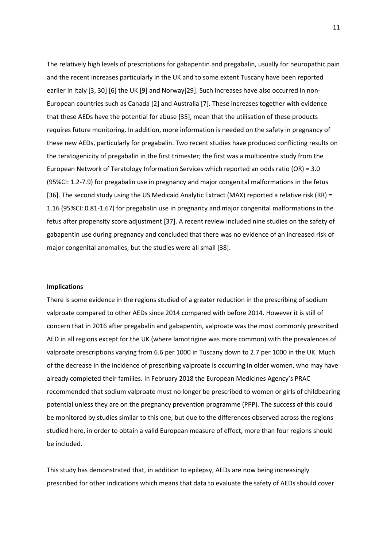The relatively high levels of prescriptions for gabapentin and pregabalin, usually for neuropathic pain and the recent increases particularly in the UK and to some extent Tuscany have been reported earlier in Italy [3, 30] [6] the UK [9] and Norway[29]. Such increases have also occurred in non-European countries such as Canada [2] and Australia [7]. These increases together with evidence that these AEDs have the potential for abuse [35], mean that the utilisation of these products requires future monitoring. In addition, more information is needed on the safety in pregnancy of these new AEDs, particularly for pregabalin. Two recent studies have produced conflicting results on the teratogenicity of pregabalin in the first trimester; the first was a multicentre study from the European Network of Teratology Information Services which reported an odds ratio (OR) = 3.0 (95%CI: 1.2-7.9) for pregabalin use in pregnancy and major congenital malformations in the fetus [36]. The second study using the US Medicaid Analytic Extract (MAX) reported a relative risk (RR) = 1.16 (95%CI: 0.81-1.67) for pregabalin use in pregnancy and major congenital malformations in the fetus after propensity score adjustment [37]. A recent review included nine studies on the safety of gabapentin use during pregnancy and concluded that there was no evidence of an increased risk of major congenital anomalies, but the studies were all small [38].

#### **Implications**

There is some evidence in the regions studied of a greater reduction in the prescribing of sodium valproate compared to other AEDs since 2014 compared with before 2014. However it is still of concern that in 2016 after pregabalin and gabapentin, valproate was the most commonly prescribed AED in all regions except for the UK (where lamotrigine was more common) with the prevalences of valproate prescriptions varying from 6.6 per 1000 in Tuscany down to 2.7 per 1000 in the UK. Much of the decrease in the incidence of prescribing valproate is occurring in older women, who may have already completed their families. In February 2018 the European Medicines Agency's PRAC recommended that sodium valproate must no longer be prescribed to women or girls of childbearing potential unless they are on the pregnancy prevention programme (PPP). The success of this could be monitored by studies similar to this one, but due to the differences observed across the regions studied here, in order to obtain a valid European measure of effect, more than four regions should be included.

This study has demonstrated that, in addition to epilepsy, AEDs are now being increasingly prescribed for other indications which means that data to evaluate the safety of AEDs should cover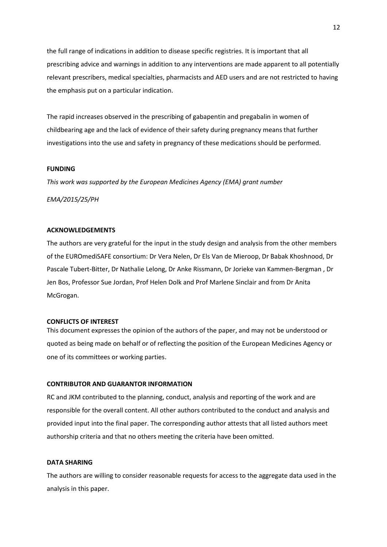the full range of indications in addition to disease specific registries. It is important that all prescribing advice and warnings in addition to any interventions are made apparent to all potentially relevant prescribers, medical specialties, pharmacists and AED users and are not restricted to having the emphasis put on a particular indication.

The rapid increases observed in the prescribing of gabapentin and pregabalin in women of childbearing age and the lack of evidence of their safety during pregnancy means that further investigations into the use and safety in pregnancy of these medications should be performed.

# **FUNDING**

*This work was supported by the European Medicines Agency (EMA) grant number* 

*EMA/2015/25/PH*

# **ACKNOWLEDGEMENTS**

The authors are very grateful for the input in the study design and analysis from the other members of the EUROmediSAFE consortium: Dr Vera Nelen, Dr Els Van de Mieroop, Dr Babak Khoshnood, Dr Pascale Tubert-Bitter, Dr Nathalie Lelong, Dr Anke Rissmann, Dr Jorieke van Kammen-Bergman , Dr Jen Bos, Professor Sue Jordan, Prof Helen Dolk and Prof Marlene Sinclair and from Dr Anita McGrogan.

#### **CONFLICTS OF INTEREST**

This document expresses the opinion of the authors of the paper, and may not be understood or quoted as being made on behalf or of reflecting the position of the European Medicines Agency or one of its committees or working parties.

# **CONTRIBUTOR AND GUARANTOR INFORMATION**

RC and JKM contributed to the planning, conduct, analysis and reporting of the work and are responsible for the overall content. All other authors contributed to the conduct and analysis and provided input into the final paper. The corresponding author attests that all listed authors meet authorship criteria and that no others meeting the criteria have been omitted.

### **DATA SHARING**

The authors are willing to consider reasonable requests for access to the aggregate data used in the analysis in this paper.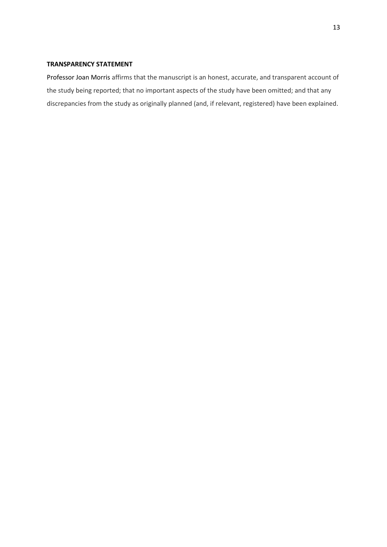# **TRANSPARENCY STATEMENT**

Professor Joan Morris affirms that the manuscript is an honest, accurate, and transparent account of the study being reported; that no important aspects of the study have been omitted; and that any discrepancies from the study as originally planned (and, if relevant, registered) have been explained.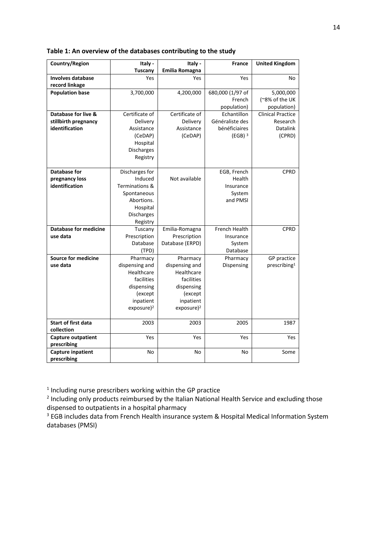| Country/Region               | Italy -                | Italy -                | <b>France</b>        | <b>United Kingdom</b>    |  |
|------------------------------|------------------------|------------------------|----------------------|--------------------------|--|
|                              | <b>Tuscany</b>         | <b>Emilia Romagna</b>  |                      |                          |  |
| <b>Involves database</b>     | Yes                    | Yes                    | Yes                  | No                       |  |
| record linkage               |                        |                        |                      |                          |  |
| <b>Population base</b>       | 3,700,000              | 4,200,000              | 680,000 (1/97 of     | 5,000,000                |  |
|                              |                        |                        | French               | (~8% of the UK           |  |
|                              |                        |                        | population)          | population)              |  |
| Database for live &          | Certificate of         | Certificate of         | Echantillon          | <b>Clinical Practice</b> |  |
| stillbirth pregnancy         | Delivery               | Delivery               | Généraliste des      | Research                 |  |
| identification               | Assistance             | Assistance             | bénéficiaires        | <b>Datalink</b>          |  |
|                              | (CeDAP)                | (CeDAP)                | $(EGB)$ <sup>3</sup> | (CPRD)                   |  |
|                              | Hospital               |                        |                      |                          |  |
|                              | Discharges             |                        |                      |                          |  |
|                              | Registry               |                        |                      |                          |  |
|                              |                        |                        |                      |                          |  |
| <b>Database for</b>          | Discharges for         |                        | EGB, French          | CPRD                     |  |
| pregnancy loss               | Induced                | Not available          | Health               |                          |  |
| identification               | Terminations &         |                        | Insurance            |                          |  |
|                              | Spontaneous            |                        | System               |                          |  |
|                              | Abortions.             |                        | and PMSI             |                          |  |
|                              | Hospital               |                        |                      |                          |  |
|                              | <b>Discharges</b>      |                        |                      |                          |  |
|                              | Registry               |                        |                      |                          |  |
| <b>Database for medicine</b> | Tuscany                | Emilia-Romagna         | French Health        | <b>CPRD</b>              |  |
| use data                     | Prescription           | Prescription           | Insurance            |                          |  |
|                              | Database               | Database (ERPD)        | System               |                          |  |
|                              | (TPD)                  |                        | Database             |                          |  |
| <b>Source for medicine</b>   | Pharmacy               | Pharmacy               | Pharmacy             | <b>GP</b> practice       |  |
| use data                     | dispensing and         | dispensing and         | Dispensing           | prescribing <sup>1</sup> |  |
|                              | Healthcare             | Healthcare             |                      |                          |  |
|                              | facilities             | facilities             |                      |                          |  |
|                              | dispensing             | dispensing             |                      |                          |  |
|                              | (except                | (except                |                      |                          |  |
|                              | inpatient              | inpatient              |                      |                          |  |
|                              | exposure) <sup>2</sup> | exposure) <sup>2</sup> |                      |                          |  |
|                              |                        |                        |                      |                          |  |
| <b>Start of first data</b>   | 2003                   | 2003                   | 2005                 | 1987                     |  |
| collection                   |                        |                        |                      |                          |  |
| <b>Capture outpatient</b>    | Yes                    | Yes                    | Yes                  | Yes                      |  |
| prescribing                  |                        |                        |                      |                          |  |
| <b>Capture inpatient</b>     | No                     | No                     | No                   | Some                     |  |
| prescribing                  |                        |                        |                      |                          |  |

# **Table 1: An overview of the databases contributing to the study**

 $<sup>1</sup>$  Including nurse prescribers working within the GP practice</sup>

<sup>2</sup> Including only products reimbursed by the Italian National Health Service and excluding those dispensed to outpatients in a hospital pharmacy

<sup>3</sup> EGB includes data from French Health insurance system & Hospital Medical Information System databases (PMSI)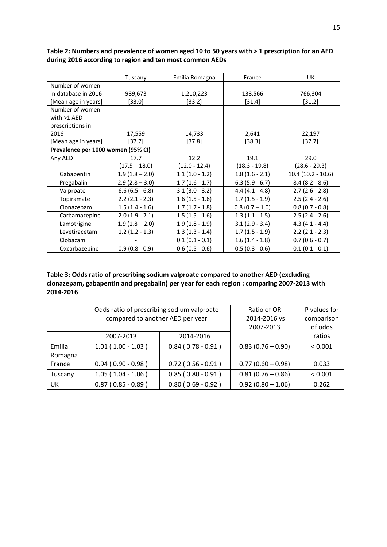|                                    | Tuscany                              | Emilia Romagna   | France           | UK                  |  |
|------------------------------------|--------------------------------------|------------------|------------------|---------------------|--|
| Number of women                    |                                      |                  |                  |                     |  |
| in database in 2016<br>989,673     |                                      | 1,210,223        | 138,566          | 766,304             |  |
| [Mean age in years]                | [33.0]                               | [33.2]           | $[31.4]$         | [31.2]              |  |
| Number of women                    |                                      |                  |                  |                     |  |
| with $>1$ AED                      |                                      |                  |                  |                     |  |
| prescriptions in                   |                                      |                  |                  |                     |  |
| 2016                               | 17,559                               | 14,733           | 2,641            | 22,197              |  |
| [Mean age in years]                | $[37.7]$                             | $[37.8]$         | $[38.3]$         | [37.7]              |  |
| Prevalence per 1000 women (95% CI) |                                      |                  |                  |                     |  |
| Any AED                            | 17.7                                 | 12.2             | 19.1             | 29.0                |  |
|                                    | $(17.5 - 18.0)$                      | $(12.0 - 12.4)$  | $(18.3 - 19.8)$  | $(28.6 - 29.3)$     |  |
| Gabapentin                         | $1.9(1.8 - 2.0)$<br>$1.1(1.0 - 1.2)$ |                  | $1.8(1.6 - 2.1)$ | $10.4(10.2 - 10.6)$ |  |
| $2.9(2.8 - 3.0)$<br>Pregabalin     |                                      | $1.7(1.6 - 1.7)$ | $6.3(5.9 - 6.7)$ | $8.4(8.2 - 8.6)$    |  |
| $6.6(6.5 - 6.8)$<br>Valproate      |                                      | $3.1(3.0 - 3.2)$ | $4.4(4.1 - 4.8)$ | $2.7(2.6 - 2.8)$    |  |
| $2.2(2.1 - 2.3)$<br>Topiramate     |                                      | $1.6(1.5 - 1.6)$ | $1.7(1.5 - 1.9)$ | $2.5(2.4 - 2.6)$    |  |
| $1.5(1.4 - 1.6)$<br>Clonazepam     |                                      | $1.7(1.7 - 1.8)$ | $0.8(0.7 - 1.0)$ | $0.8(0.7 - 0.8)$    |  |
| $2.0(1.9 - 2.1)$<br>Carbamazepine  |                                      | $1.5(1.5 - 1.6)$ | $1.3(1.1 - 1.5)$ | $2.5(2.4 - 2.6)$    |  |
| Lamotrigine                        | $1.9(1.8 - 2.0)$                     | $1.9(1.8 - 1.9)$ | $3.1(2.9 - 3.4)$ | $4.3(4.1 - 4.4)$    |  |
| Levetiracetam                      | $1.2(1.2 - 1.3)$                     | $1.3(1.3 - 1.4)$ | $1.7(1.5 - 1.9)$ | $2.2$ (2.1 - 2.3)   |  |
| Clobazam                           |                                      | $0.1(0.1 - 0.1)$ | $1.6(1.4 - 1.8)$ | $0.7(0.6 - 0.7)$    |  |
| $0.9(0.8 - 0.9)$<br>Oxcarbazepine  |                                      | $0.6(0.5 - 0.6)$ | $0.5(0.3 - 0.6)$ | $0.1(0.1 - 0.1)$    |  |

**Table 2: Numbers and prevalence of women aged 10 to 50 years with > 1 prescription for an AED during 2016 according to region and ten most common AEDs**

**Table 3: Odds ratio of prescribing sodium valproate compared to another AED (excluding clonazepam, gabapentin and pregabalin) per year for each region : comparing 2007-2013 with 2014-2016** 

|         | Odds ratio of prescribing sodium valproate<br>compared to another AED per year |                      | Ratio of OR<br>2014-2016 vs<br>2007-2013 | P values for<br>comparison<br>of odds |
|---------|--------------------------------------------------------------------------------|----------------------|------------------------------------------|---------------------------------------|
|         | 2007-2013                                                                      | 2014-2016            |                                          | ratios                                |
| Emilia  | $1.01(1.00 - 1.03)$                                                            | $0.84(0.78-0.91)$    | $0.83(0.76 - 0.90)$                      | < 0.001                               |
| Romagna |                                                                                |                      |                                          |                                       |
| France  | $0.94(0.90 - 0.98)$                                                            | $0.72$ (0.56 - 0.91) | $0.77(0.60 - 0.98)$                      | 0.033                                 |
| Tuscany | $1.05(1.04 - 1.06)$                                                            | $0.85(0.80 - 0.91)$  | $0.81(0.76 - 0.86)$                      | < 0.001                               |
| UK      | $0.87(0.85 - 0.89)$                                                            | $0.80(0.69 - 0.92)$  | $0.92(0.80 - 1.06)$                      | 0.262                                 |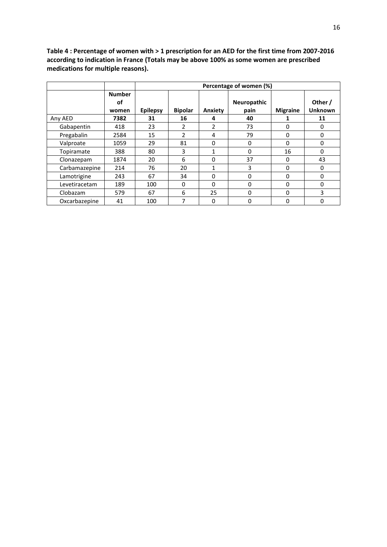**Table 4 : Percentage of women with > 1 prescription for an AED for the first time from 2007-2016 according to indication in France (Totals may be above 100% as some women are prescribed medications for multiple reasons).**

|               |                              | Percentage of women (%) |                |         |                     |                 |                           |
|---------------|------------------------------|-------------------------|----------------|---------|---------------------|-----------------|---------------------------|
|               | <b>Number</b><br>οf<br>women | <b>Epilepsy</b>         | <b>Bipolar</b> | Anxiety | Neuropathic<br>pain | <b>Migraine</b> | Other /<br><b>Unknown</b> |
| Any AED       | 7382                         | 31                      | 16             | 4       | 40                  |                 | 11                        |
| Gabapentin    | 418                          | 23                      | $\overline{2}$ | 2       | 73                  | 0               | 0                         |
| Pregabalin    | 2584                         | 15                      | $\overline{2}$ | 4       | 79                  | 0               | 0                         |
| Valproate     | 1059                         | 29                      | 81             | 0       | $\Omega$            | $\Omega$        | 0                         |
| Topiramate    | 388                          | 80                      | 3              | 1       | 0                   | 16              | 0                         |
| Clonazepam    | 1874                         | 20                      | 6              | 0       | 37                  | 0               | 43                        |
| Carbamazepine | 214                          | 76                      | 20             | 1       | 3                   | 0               | 0                         |
| Lamotrigine   | 243                          | 67                      | 34             | 0       | 0                   | 0               | 0                         |
| Levetiracetam | 189                          | 100                     | 0              | 0       | 0                   | 0               | 0                         |
| Clobazam      | 579                          | 67                      | 6              | 25      | $\Omega$            | $\Omega$        | 3                         |
| Oxcarbazepine | 41                           | 100                     | 7              | 0       | 0                   | 0               | 0                         |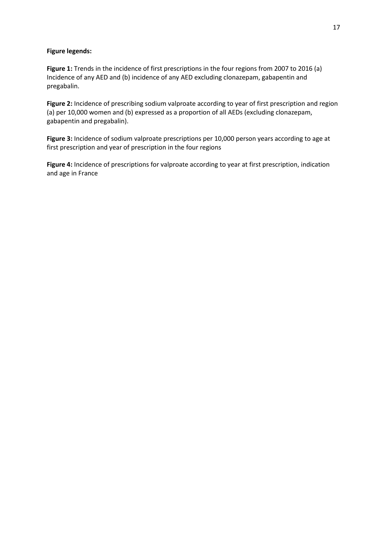# **Figure legends:**

**Figure 1:** Trends in the incidence of first prescriptions in the four regions from 2007 to 2016 (a) Incidence of any AED and (b) incidence of any AED excluding clonazepam, gabapentin and pregabalin.

**Figure 2:** Incidence of prescribing sodium valproate according to year of first prescription and region (a) per 10,000 women and (b) expressed as a proportion of all AEDs (excluding clonazepam, gabapentin and pregabalin).

**Figure 3:** Incidence of sodium valproate prescriptions per 10,000 person years according to age at first prescription and year of prescription in the four regions

**Figure 4:** Incidence of prescriptions for valproate according to year at first prescription, indication and age in France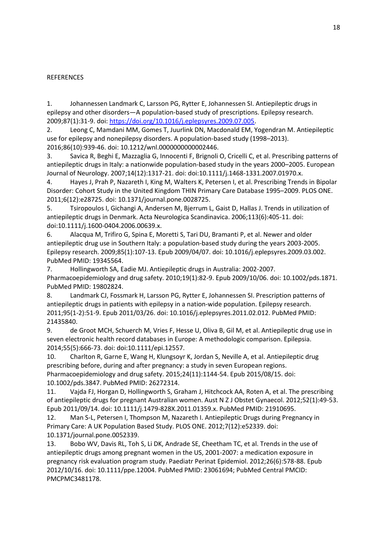# **REFERENCES**

1. Johannessen Landmark C, Larsson PG, Rytter E, Johannessen SI. Antiepileptic drugs in epilepsy and other disorders—A population-based study of prescriptions. Epilepsy research. 2009;87(1):31-9. doi[: https://doi.org/10.1016/j.eplepsyres.2009.07.005.](https://doi.org/10.1016/j.eplepsyres.2009.07.005)

2. Leong C, Mamdani MM, Gomes T, Juurlink DN, Macdonald EM, Yogendran M. Antiepileptic use for epilepsy and nonepilepsy disorders. A population-based study (1998–2013). 2016;86(10):939-46. doi: 10.1212/wnl.0000000000002446.

3. Savica R, Beghi E, Mazzaglia G, Innocenti F, Brignoli O, Cricelli C, et al. Prescribing patterns of antiepileptic drugs in Italy: a nationwide population-based study in the years 2000–2005. European Journal of Neurology. 2007;14(12):1317-21. doi: doi:10.1111/j.1468-1331.2007.01970.x.

4. Hayes J, Prah P, Nazareth I, King M, Walters K, Petersen I, et al. Prescribing Trends in Bipolar Disorder: Cohort Study in the United Kingdom THIN Primary Care Database 1995–2009. PLOS ONE. 2011;6(12):e28725. doi: 10.1371/journal.pone.0028725.

5. Tsiropoulos I, Gichangi A, Andersen M, Bjerrum L, Gaist D, Hallas J. Trends in utilization of antiepileptic drugs in Denmark. Acta Neurologica Scandinavica. 2006;113(6):405-11. doi: doi:10.1111/j.1600-0404.2006.00639.x.

6. Alacqua M, Trifiro G, Spina E, Moretti S, Tari DU, Bramanti P, et al. Newer and older antiepileptic drug use in Southern Italy: a population-based study during the years 2003-2005. Epilepsy research. 2009;85(1):107-13. Epub 2009/04/07. doi: 10.1016/j.eplepsyres.2009.03.002. PubMed PMID: 19345564.

7. Hollingworth SA, Eadie MJ. Antiepileptic drugs in Australia: 2002-2007. Pharmacoepidemiology and drug safety. 2010;19(1):82-9. Epub 2009/10/06. doi: 10.1002/pds.1871. PubMed PMID: 19802824.

8. Landmark CJ, Fossmark H, Larsson PG, Rytter E, Johannessen SI. Prescription patterns of antiepileptic drugs in patients with epilepsy in a nation-wide population. Epilepsy research. 2011;95(1-2):51-9. Epub 2011/03/26. doi: 10.1016/j.eplepsyres.2011.02.012. PubMed PMID: 21435840.

9. de Groot MCH, Schuerch M, Vries F, Hesse U, Oliva B, Gil M, et al. Antiepileptic drug use in seven electronic health record databases in Europe: A methodologic comparison. Epilepsia. 2014;55(5):666-73. doi: doi:10.1111/epi.12557.

10. Charlton R, Garne E, Wang H, Klungsoyr K, Jordan S, Neville A, et al. Antiepileptic drug prescribing before, during and after pregnancy: a study in seven European regions. Pharmacoepidemiology and drug safety. 2015;24(11):1144-54. Epub 2015/08/15. doi: 10.1002/pds.3847. PubMed PMID: 26272314.

11. Vajda FJ, Horgan D, Hollingworth S, Graham J, Hitchcock AA, Roten A, et al. The prescribing of antiepileptic drugs for pregnant Australian women. Aust N Z J Obstet Gynaecol. 2012;52(1):49-53. Epub 2011/09/14. doi: 10.1111/j.1479-828X.2011.01359.x. PubMed PMID: 21910695.

12. Man S-L, Petersen I, Thompson M, Nazareth I. Antiepileptic Drugs during Pregnancy in Primary Care: A UK Population Based Study. PLOS ONE. 2012;7(12):e52339. doi: 10.1371/journal.pone.0052339.

13. Bobo WV, Davis RL, Toh S, Li DK, Andrade SE, Cheetham TC, et al. Trends in the use of antiepileptic drugs among pregnant women in the US, 2001-2007: a medication exposure in pregnancy risk evaluation program study. Paediatr Perinat Epidemiol. 2012;26(6):578-88. Epub 2012/10/16. doi: 10.1111/ppe.12004. PubMed PMID: 23061694; PubMed Central PMCID: PMCPMC3481178.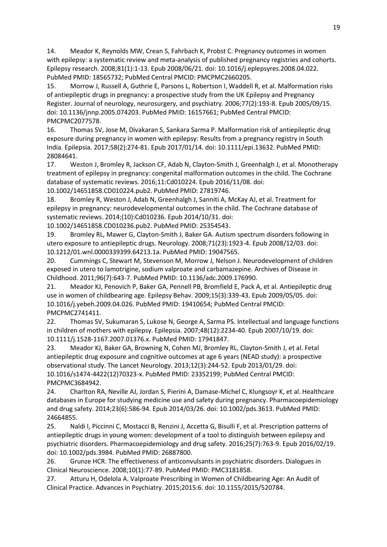14. Meador K, Reynolds MW, Crean S, Fahrbach K, Probst C. Pregnancy outcomes in women with epilepsy: a systematic review and meta-analysis of published pregnancy registries and cohorts. Epilepsy research. 2008;81(1):1-13. Epub 2008/06/21. doi: 10.1016/j.eplepsyres.2008.04.022. PubMed PMID: 18565732; PubMed Central PMCID: PMCPMC2660205.

15. Morrow J, Russell A, Guthrie E, Parsons L, Robertson I, Waddell R, et al. Malformation risks of antiepileptic drugs in pregnancy: a prospective study from the UK Epilepsy and Pregnancy Register. Journal of neurology, neurosurgery, and psychiatry. 2006;77(2):193-8. Epub 2005/09/15. doi: 10.1136/jnnp.2005.074203. PubMed PMID: 16157661; PubMed Central PMCID: PMCPMC2077578.

16. Thomas SV, Jose M, Divakaran S, Sankara Sarma P. Malformation risk of antiepileptic drug exposure during pregnancy in women with epilepsy: Results from a pregnancy registry in South India. Epilepsia. 2017;58(2):274-81. Epub 2017/01/14. doi: 10.1111/epi.13632. PubMed PMID: 28084641.

17. Weston J, Bromley R, Jackson CF, Adab N, Clayton-Smith J, Greenhalgh J, et al. Monotherapy treatment of epilepsy in pregnancy: congenital malformation outcomes in the child. The Cochrane database of systematic reviews. 2016;11:Cd010224. Epub 2016/11/08. doi: 10.1002/14651858.CD010224.pub2. PubMed PMID: 27819746.

18. Bromley R, Weston J, Adab N, Greenhalgh J, Sanniti A, McKay AJ, et al. Treatment for epilepsy in pregnancy: neurodevelopmental outcomes in the child. The Cochrane database of systematic reviews. 2014;(10):Cd010236. Epub 2014/10/31. doi:

10.1002/14651858.CD010236.pub2. PubMed PMID: 25354543.

19. Bromley RL, Mawer G, Clayton-Smith J, Baker GA. Autism spectrum disorders following in utero exposure to antiepileptic drugs. Neurology. 2008;71(23):1923-4. Epub 2008/12/03. doi: 10.1212/01.wnl.0000339399.64213.1a. PubMed PMID: 19047565.

20. Cummings C, Stewart M, Stevenson M, Morrow J, Nelson J. Neurodevelopment of children exposed in utero to lamotrigine, sodium valproate and carbamazepine. Archives of Disease in Childhood. 2011;96(7):643-7. PubMed PMID: 10.1136/adc.2009.176990.

21. Meador KJ, Penovich P, Baker GA, Pennell PB, Bromfield E, Pack A, et al. Antiepileptic drug use in women of childbearing age. Epilepsy Behav. 2009;15(3):339-43. Epub 2009/05/05. doi: 10.1016/j.yebeh.2009.04.026. PubMed PMID: 19410654; PubMed Central PMCID: PMCPMC2741411.

22. Thomas SV, Sukumaran S, Lukose N, George A, Sarma PS. Intellectual and language functions in children of mothers with epilepsy. Epilepsia. 2007;48(12):2234-40. Epub 2007/10/19. doi: 10.1111/j.1528-1167.2007.01376.x. PubMed PMID: 17941847.

23. Meador KJ, Baker GA, Browning N, Cohen MJ, Bromley RL, Clayton-Smith J, et al. Fetal antiepileptic drug exposure and cognitive outcomes at age 6 years (NEAD study): a prospective observational study. The Lancet Neurology. 2013;12(3):244-52. Epub 2013/01/29. doi: 10.1016/s1474-4422(12)70323-x. PubMed PMID: 23352199; PubMed Central PMCID: PMCPMC3684942.

24. Charlton RA, Neville AJ, Jordan S, Pierini A, Damase-Michel C, Klungsoyr K, et al. Healthcare databases in Europe for studying medicine use and safety during pregnancy. Pharmacoepidemiology and drug safety. 2014;23(6):586-94. Epub 2014/03/26. doi: 10.1002/pds.3613. PubMed PMID: 24664855.

25. Naldi I, Piccinni C, Mostacci B, Renzini J, Accetta G, Bisulli F, et al. Prescription patterns of antiepileptic drugs in young women: development of a tool to distinguish between epilepsy and psychiatric disorders. Pharmacoepidemiology and drug safety. 2016;25(7):763-9. Epub 2016/02/19. doi: 10.1002/pds.3984. PubMed PMID: 26887800.

26. Grunze HCR. The effectiveness of anticonvulsants in psychiatric disorders. Dialogues in Clinical Neuroscience. 2008;10(1):77-89. PubMed PMID: PMC3181858.

27. Atturu H, Odelola A. Valproate Prescribing in Women of Childbearing Age: An Audit of Clinical Practice. Advances in Psychiatry. 2015;2015:6. doi: 10.1155/2015/520784.